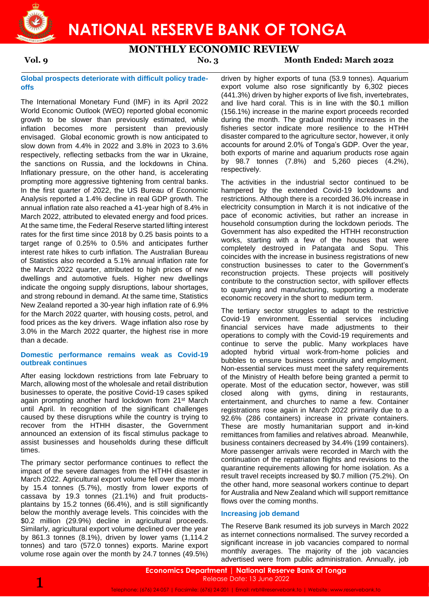

**NATIONAL RESERVE BANK OF TONGA**

# **MONTHLY ECONOMIC REVIEW**

**Vol. 9 No. 3 Month Ended: March 2022**

#### **Global prospects deteriorate with difficult policy tradeoffs**

The International Monetary Fund (IMF) in its April 2022 World Economic Outlook (WEO) reported global economic growth to be slower than previously estimated, while inflation becomes more persistent than previously envisaged. Global economic growth is now anticipated to slow down from 4.4% in 2022 and 3.8% in 2023 to 3.6% respectively, reflecting setbacks from the war in Ukraine, the sanctions on Russia, and the lockdowns in China. Inflationary pressure, on the other hand, is accelerating prompting more aggressive tightening from central banks. In the first quarter of 2022, the US Bureau of Economic Analysis reported a 1.4% decline in real GDP growth. The annual inflation rate also reached a 41-year high of 8.4% in March 2022, attributed to elevated energy and food prices. At the same time, the Federal Reserve started lifting interest rates for the first time since 2018 by 0.25 basis points to a target range of 0.25% to 0.5% and anticipates further interest rate hikes to curb inflation. The Australian Bureau of Statistics also recorded a 5.1% annual inflation rate for the March 2022 quarter, attributed to high prices of new dwellings and automotive fuels. Higher new dwellings indicate the ongoing supply disruptions, labour shortages, and strong rebound in demand. At the same time, Statistics New Zealand reported a 30-year high inflation rate of 6.9% for the March 2022 quarter, with housing costs, petrol, and food prices as the key drivers. Wage inflation also rose by 3.0% in the March 2022 quarter, the highest rise in more than a decade.

#### **Domestic performance remains weak as Covid-19 outbreak continues**

After easing lockdown restrictions from late February to March, allowing most of the wholesale and retail distribution businesses to operate, the positive Covid-19 cases spiked again prompting another hard lockdown from 21st March until April. In recognition of the significant challenges caused by these disruptions while the country is trying to recover from the HTHH disaster, the Government announced an extension of its fiscal stimulus package to assist businesses and households during these difficult times.

The primary sector performance continues to reflect the impact of the severe damages from the HTHH disaster in March 2022. Agricultural export volume fell over the month by 15.4 tonnes (5.7%), mostly from lower exports of cassava by 19.3 tonnes (21.1%) and fruit productsplantains by 15.2 tonnes (66.4%), and is still significantly below the monthly average levels. This coincides with the \$0.2 million (29.9%) decline in agricultural proceeds. Similarly, agricultural export volume declined over the year by 861.3 tonnes (8.1%), driven by lower yams (1,114.2 tonnes) and taro (572.0 tonnes) exports. Marine export volume rose again over the month by 24.7 tonnes (49.5%)

driven by higher exports of tuna (53.9 tonnes). Aquarium export volume also rose significantly by 6,302 pieces (441.3%) driven by higher exports of live fish, invertebrates, and live hard coral. This is in line with the \$0.1 million (156.1%) increase in the marine export proceeds recorded during the month. The gradual monthly increases in the fisheries sector indicate more resilience to the HTHH disaster compared to the agriculture sector, however, it only accounts for around 2.0% of Tonga's GDP. Over the year, both exports of marine and aquarium products rose again by 98.7 tonnes (7.8%) and 5,260 pieces (4.2%), respectively.

The activities in the industrial sector continued to be hampered by the extended Covid-19 lockdowns and restrictions. Although there is a recorded 36.0% increase in electricity consumption in March it is not indicative of the pace of economic activities, but rather an increase in household consumption during the lockdown periods. The Government has also expedited the HTHH reconstruction works, starting with a few of the houses that were completely destroyed in Patangata and Sopu. This coincides with the increase in business registrations of new construction businesses to cater to the Government's reconstruction projects. These projects will positively contribute to the construction sector, with spillover effects to quarrying and manufacturing, supporting a moderate economic recovery in the short to medium term.

The tertiary sector struggles to adapt to the restrictive Covid-19 environment. Essential services including financial services have made adjustments to their operations to comply with the Covid-19 requirements and continue to serve the public. Many workplaces have adopted hybrid virtual work-from-home policies and bubbles to ensure business continuity and employment. Non-essential services must meet the safety requirements of the Ministry of Health before being granted a permit to operate. Most of the education sector, however, was still closed along with gyms, dining in restaurants, entertainment, and churches to name a few. Container registrations rose again in March 2022 primarily due to a 92.6% (286 containers) increase in private containers. These are mostly humanitarian support and in-kind remittances from families and relatives abroad. Meanwhile, business containers decreased by 34.4% (199 containers). More passenger arrivals were recorded in March with the continuation of the repatriation flights and revisions to the quarantine requirements allowing for home isolation. As a result travel receipts increased by \$0.7 million (75.2%). On the other hand, more seasonal workers continue to depart for Australia and New Zealand which will support remittance flows over the coming months.

#### **Increasing job demand**

The Reserve Bank resumed its job surveys in March 2022 as internet connections normalised. The survey recorded a significant increase in job vacancies compared to normal monthly averages. The majority of the job vacancies advertised were from public administration. Annually, job

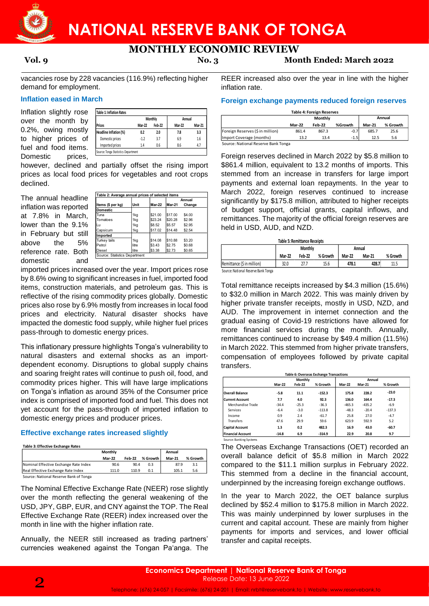

# **MONTHLY ECONOMIC REVIEW**

**Vol. 9 No. 3 Month Ended: March 2022**

vacancies rose by 228 vacancies (116.9%) reflecting higher demand for employment.

### **Inflation eased in March**

Inflation slightly rose over the month by 0.2%, owing mostly to higher prices of fuel and food items. Domestic prices.

|                        |               | Monthly | Annual        |               |  |
|------------------------|---------------|---------|---------------|---------------|--|
| Prices                 | <b>Mar-22</b> | Feb-22  | <b>Mar-22</b> | <b>Mar-21</b> |  |
| Headline Inflation (%) | 0.2           | 2.0     | 7.8           | 3.3           |  |
| Domestic prices        | $-1.2$        | 3.7     | 6.9           | 1.6           |  |
| Imported prices        | 1.4           | 0.6     | 8.6           | 4.7           |  |

however, declined and partially offset the rising import prices as local food prices for vegetables and root crops declined.

The annual headline inflation was reported at 7.8% in March, lower than the 9.1% in February but still above the 5% reference rate. Both domestic and

|                     |       |         |         | Annual |  |  |
|---------------------|-------|---------|---------|--------|--|--|
| Items (\$ per kg)   | Unit  | Mar-22  | Mar-21  | Change |  |  |
| <b>Domestic</b>     |       |         |         |        |  |  |
| Tuna                | 1kg   | \$21.00 | \$17.00 | \$4.00 |  |  |
| Tomatoes            | 1kg   | \$23.24 | \$20.28 | \$2.96 |  |  |
| lLu                 | 1kg   | \$8.52  | \$5.57  | \$2.95 |  |  |
| Capsicum            | 1kg   | \$17.02 | \$14.48 | \$2.54 |  |  |
| Imported            |       |         |         |        |  |  |
| <b>Turkey tails</b> | 1kg   | \$14.08 | \$10.88 | \$3.20 |  |  |
| Petrol              | litre | \$3.43  | \$2.75  | \$0.68 |  |  |
| Diesel              | litre | \$3.38  | \$2.73  | \$0.65 |  |  |

imported prices increased over the year. Import prices rose by 8.6% owing to significant increases in fuel, imported food items, construction materials, and petroleum gas. This is reflective of the rising commodity prices globally. Domestic prices also rose by 6.9% mostly from increases in local food prices and electricity. Natural disaster shocks have impacted the domestic food supply, while higher fuel prices pass-through to domestic energy prices.

This inflationary pressure highlights Tonga's vulnerability to natural disasters and external shocks as an importdependent economy. Disruptions to global supply chains and soaring freight rates will continue to push oil, food, and commodity prices higher. This will have large implications on Tonga's inflation as around 35% of the Consumer price index is comprised of imported food and fuel. This does not yet account for the pass-through of imported inflation to domestic energy prices and producer prices.

## **Effective exchange rates increased slightly**

**Table 3: Effective Exchange Rates**

|                                        | Monthly       |               |          | Annual        |          |
|----------------------------------------|---------------|---------------|----------|---------------|----------|
|                                        | <b>Mar-22</b> | <b>Feb-22</b> | % Growth | <b>Mar-21</b> | % Growth |
| Nominal Effective Exchange Rate Index  | 90.6          | 90.4          | 0.3      | 87.9          | 3.1      |
| Real Effective Exchange Rate Index     | 111.0         | 110.9         | 0.1      | 105.1         | 5.6      |
| Source: National Reserve Bank of Tonga |               |               |          |               |          |

The Nominal Effective Exchange Rate (NEER) rose slightly over the month reflecting the general weakening of the USD, JPY, GBP, EUR, and CNY against the TOP. The Real Effective Exchange Rate (REER) index increased over the month in line with the higher inflation rate.

Annually, the NEER still increased as trading partners' currencies weakened against the Tongan Pa'anga. The

REER increased also over the year in line with the higher inflation rate.

#### **Foreign exchange payments reduced foreign reserves**

|                                  | Annual<br>Monthly |               |         |               |          |
|----------------------------------|-------------------|---------------|---------|---------------|----------|
|                                  | <b>Mar-22</b>     | <b>Feb-22</b> | %Growth | <b>Mar-21</b> | % Growth |
| Foreign Reserves (\$ in million) | 861.4             | 867.3         | $-0.7$  | 685.7         | 25.6     |
| Import Coverage (months)         | 13.2              | 13.4          | $-1.5$  | 12.5          | 5.6      |

Foreign reserves declined in March 2022 by \$5.8 million to \$861.4 million, equivalent to 13.2 months of imports. This stemmed from an increase in transfers for large import payments and external loan repayments. In the year to March 2022, foreign reserves continued to increase significantly by \$175.8 million, attributed to higher receipts of budget support, official grants, capital inflows, and remittances. The majority of the official foreign reserves are held in USD, AUD, and NZD.

|                                     |               | <b>Table 5: Remittance Receipts</b> |          |               |               |          |
|-------------------------------------|---------------|-------------------------------------|----------|---------------|---------------|----------|
|                                     |               | <b>Monthly</b>                      |          |               | Annual        |          |
|                                     | <b>Mar-22</b> | Feb-22                              | % Growth | <b>Mar-22</b> | <b>Mar-21</b> | % Growth |
| Remittance (\$ in million)          | 32.0          | 27.7                                | 15.6     | 478.1         | 428.7         | 11.5     |
| Source: National Reserve Bank Tonga |               |                                     |          |               |               |          |

Source: National Reserve Bank Tonga

Total remittance receipts increased by \$4.3 million (15.6%) to \$32.0 million in March 2022. This was mainly driven by higher private transfer receipts, mostly in USD, NZD, and AUD. The improvement in internet connection and the gradual easing of Covid-19 restrictions have allowed for more financial services during the month. Annually, remittances continued to increase by \$49.4 million (11.5%) in March 2022. This stemmed from higher private transfers, compensation of employees followed by private capital transfers.

|                          |               | <b>Monthly</b> |          |               | Annual        |          |  |  |
|--------------------------|---------------|----------------|----------|---------------|---------------|----------|--|--|
|                          | <b>Mar-22</b> | <b>Feb-22</b>  | % Growth | <b>Mar-22</b> | <b>Mar-21</b> | % Growth |  |  |
| <b>Overall Balance</b>   | $-5.8$        | 11.1           | $-152.3$ | 175.8         | 228.2         | $-23.0$  |  |  |
| <b>Current Account</b>   | 7.7           | 4.0            | 92.3     | 136.0         | 164.4         | $-17.3$  |  |  |
| Merchandise Trade        | $-34.4$       | $-25.3$        | $-36.3$  | $-465.3$      | $-435.2$      | $-6.9$   |  |  |
| Services                 | $-6.4$        | $-3.0$         | $-113.8$ | $-48.3$       | $-20.4$       | $-137.3$ |  |  |
| Income                   | 0.9           | 2.4            | $-61.7$  | 25.8          | 27.0          | $-4.7$   |  |  |
| <b>Transfers</b>         | 47.6          | 29.9           | 59.6     | 623.9         | 592.9         | 5.2      |  |  |
| <b>Capital Account</b>   | 1.3           | 0.2            | 482.3    | 16.9          | 43.0          | $-60.7$  |  |  |
| <b>Financial Account</b> | $-14.8$       | 6.9            | $-314.9$ | 22.9          | 20.8          | 9.7      |  |  |

The Overseas Exchange Transactions (OET) recorded an overall balance deficit of \$5.8 million in March 2022 compared to the \$11.1 million surplus in February 2022. This stemmed from a decline in the financial account, underpinned by the increasing foreign exchange outflows.

In the year to March 2022, the OET balance surplus declined by \$52.4 million to \$175.8 million in March 2022. This was mainly underpinned by lower surpluses in the current and capital account. These are mainly from higher payments for imports and services, and lower official transfer and capital receipts.